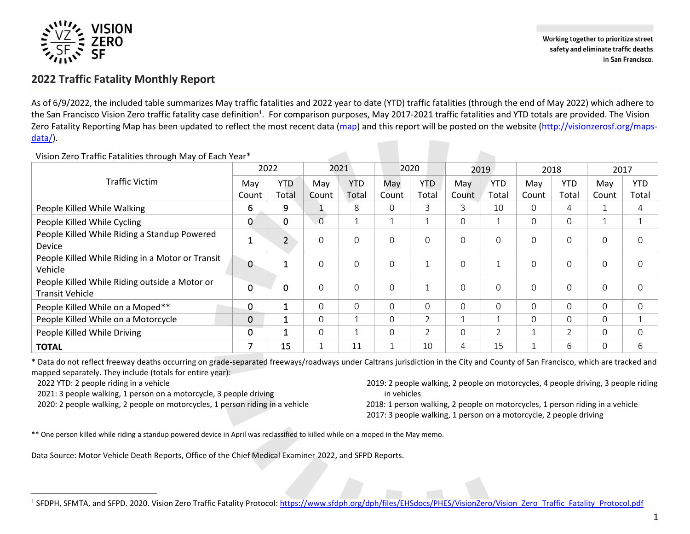

Working together to prioritize street safety and eliminate traffic deaths in San Francisco.

## **2022 Traffic Fatality Monthly Report**

As of 6/9/2022, the included table summarizes May traffic fatalities and 2022 year to date (YTD) traffic fatalities (through the end of May 2022) which adhere to the San Francisco Vision Zero traffic fatality case definition<sup>1</sup>. For comparison purposes, May 2017-2021 traffic fatalities and YTD totals are provided. The Vision Zero Fatality Reporting Map has been updated to reflect the most recent data [\(map\)](https://app.powerbigov.us/view?r=eyJrIjoiZDFhN2E3YjctMGNjNi00ZDZmLTgzMDAtNzYxYjRlODJkNzA3IiwidCI6IjIyZDVjMmNmLWNlM2UtNDQzZC05YTdmLWRmY2MwMjMxZjczZiJ9) and this report will be posted on the website [\(http://visionzerosf.org/maps](http://visionzerosf.org/maps-data/)[data/\)](http://visionzerosf.org/maps-data/).

|                                                  | 2022  |              | 2021           |            | 2020  |                | 2019           |                | 2018         |            | 2017           |                     |
|--------------------------------------------------|-------|--------------|----------------|------------|-------|----------------|----------------|----------------|--------------|------------|----------------|---------------------|
| <b>Traffic Victim</b>                            | May   | <b>YTD</b>   | May            | <b>YTD</b> | May   | <b>YTD</b>     | May            | <b>YTD</b>     | May          | <b>YTD</b> | May            | <b>YTD</b>          |
|                                                  | Count | Total        | Count          | Total      | Count | Total          | Count          | Total          | Count        | Total      | Count          | Total               |
| People Killed While Walking                      | 6     | 9            |                | 8          |       | 3              | 3              | 10             | $\Omega$     | 4          |                | 4                   |
| People Killed While Cycling                      | 0     | 0            | $\overline{0}$ |            |       |                | $\Omega$       | $\overline{ }$ | $\Omega$     | 0          | $\overline{ }$ | $\overline{ }$<br>ᆚ |
| People Killed While Riding a Standup Powered     |       | 2            | $\Omega$       | $\Omega$   |       | $\Omega$       | $\Omega$       | $\Omega$       | $\Omega$     | 0          | $\mathbf 0$    | $\Omega$            |
| <b>Device</b>                                    |       |              |                |            |       |                |                |                |              |            |                |                     |
| People Killed While Riding in a Motor or Transit | 0     | 1            | $\overline{0}$ | $\Omega$   |       |                | $\Omega$       | и              | $\Omega$     | 0          | $\mathbf{O}$   | $\mathbf{O}$        |
| Vehicle                                          |       |              |                |            |       |                |                |                |              |            |                |                     |
| People Killed While Riding outside a Motor or    | 0     | $\mathbf 0$  | $\mathbf 0$    | $\Omega$   |       |                | $\Omega$       | $\mathbf 0$    | $\Omega$     | 0          | $\mathbf 0$    | $\mathbf 0$         |
| <b>Transit Vehicle</b>                           |       |              |                |            |       |                |                |                |              |            |                |                     |
| People Killed While on a Moped**                 | 0     | $\mathbf{1}$ | $\Omega$       | $\Omega$   |       | $\Omega$       | $\Omega$       | $\Omega$       | $\Omega$     | 0          | 0              | 0                   |
| People Killed While on a Motorcycle              | 0     | 1            | $\Omega$       |            |       | $\overline{2}$ |                | $\overline{ }$ | $\Omega$     | $\Omega$   | $\Omega$       | ᅩ                   |
| People Killed While Driving                      | 0     | $\mathbf{1}$ | $\overline{0}$ |            |       | 2              | $\Omega$       | $\overline{2}$ | $\mathbf 1$  | 2          | $\Omega$       | 0                   |
| <b>TOTAL</b>                                     | ⇁     | 15           | $\overline{ }$ | 11         |       | 10             | $\overline{4}$ | 15             | $\mathbf{1}$ | 6          | $\Omega$       | 6                   |

Vision Zero Traffic Fatalities through May of Each Year\*

\* Data do not reflect freeway deaths occurring on grade-separated freeways/roadways under Caltrans jurisdiction in the City and County of San Francisco, which are tracked and mapped separately. They include (totals for entire year):

2022 YTD: 2 people riding in a vehicle

2021: 3 people walking, 1 person on a motorcycle, 3 people driving

2020: 2 people walking, 2 people on motorcycles, 1 person riding in a vehicle

 2019: 2 people walking, 2 people on motorcycles, 4 people driving, 3 people riding in vehicles

 2018: 1 person walking, 2 people on motorcycles, 1 person riding in a vehicle 2017: 3 people walking, 1 person on a motorcycle, 2 people driving

\*\* One person killed while riding a standup powered device in April was reclassified to killed while on a moped in the May memo.

Data Source: Motor Vehicle Death Reports, Office of the Chief Medical Examiner 2022, and SFPD Reports.

1

<sup>&</sup>lt;sup>1</sup> SFDPH, SFMTA, and SFPD. 2020. Vision Zero Traffic Fatality Protocol: <u>https://www.sfdph.org/dph/files/EHSdocs/PHES/VisionZero/Vision\_Zero\_Traffic\_Fatality[\\_Protocol.](https://www.sfdph.org/dph/files/EHSdocs/PHES/VisionZero/Vision_Zero_Traffic_Fatality_Protocol.pdf)pdf</u>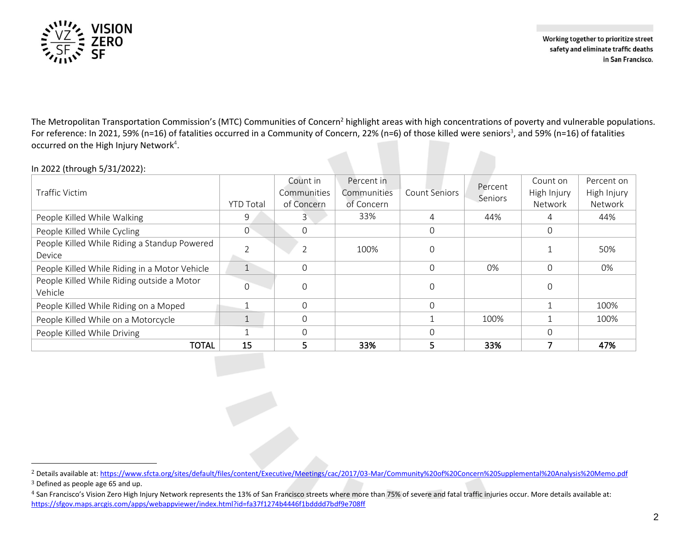

Working together to prioritize street safety and eliminate traffic deaths in San Francisco.

The Metropolitan Transportation Commission's (MTC) Communities of Concern<sup>2</sup> highlight areas with high concentrations of poverty and vulnerable populations. For reference: In 2021, 59% (n=16) of fatalities occurred in a Community of Concern, 22% (n=6) of those killed were seniors<sup>3</sup>, and 59% (n=16) of fatalities occurred on the High Injury Network<sup>4</sup>.

## In 2022 (through 5/31/2022):

| Traffic Victim                                         | <b>YTD Total</b> | Count in<br>Communities<br>of Concern | Percent in<br><b>Communities</b><br>of Concern | Count Seniors | Percent<br>Seniors | Count on<br>High Injury<br>Network | Percent on<br>High Injury<br>Network |
|--------------------------------------------------------|------------------|---------------------------------------|------------------------------------------------|---------------|--------------------|------------------------------------|--------------------------------------|
| People Killed While Walking                            | 9                |                                       | 33%                                            | 4             | 44%                | 4                                  | 44%                                  |
| People Killed While Cycling                            | $\Omega$         | $\Omega$                              |                                                | $\Omega$      |                    |                                    |                                      |
| People Killed While Riding a Standup Powered<br>Device |                  |                                       | 100%                                           | 0             |                    |                                    | 50%                                  |
| People Killed While Riding in a Motor Vehicle          | $\overline{ }$   | $\Omega$                              |                                                | $\Omega$      | 0%                 |                                    | 0%                                   |
| People Killed While Riding outside a Motor<br>Vehicle  | 0                | $\Omega$                              |                                                | $\Omega$      |                    |                                    |                                      |
| People Killed While Riding on a Moped                  |                  | $\Omega$                              |                                                | $\Omega$      |                    |                                    | 100%                                 |
| People Killed While on a Motorcycle                    |                  | $\Omega$                              |                                                |               | 100%               |                                    | 100%                                 |
| People Killed While Driving                            |                  | $\Omega$                              |                                                | $\Omega$      |                    |                                    |                                      |
| <b>TOTAL</b>                                           | 15               |                                       | 33%                                            | 5             | 33%                |                                    | 47%                                  |

<sup>&</sup>lt;sup>2</sup> Details available at:<https://www.sfcta.org/sites/default/files/content/Executive/Meetings/cac/2017/03-Mar/Community%20of%20Concern%20Supplemental%20Analysis%20Memo.pdf>

<sup>3</sup> Defined as people age 65 and up.

<sup>4</sup> San Francisco's Vision Zero High Injury Network represents the 13% of San Francisco streets where more than 75% of severe and fatal traffic injuries occur. More details available at: <https://sfgov.maps.arcgis.com/apps/webappviewer/index.html?id=fa37f1274b4446f1bdddd7bdf9e708ff>